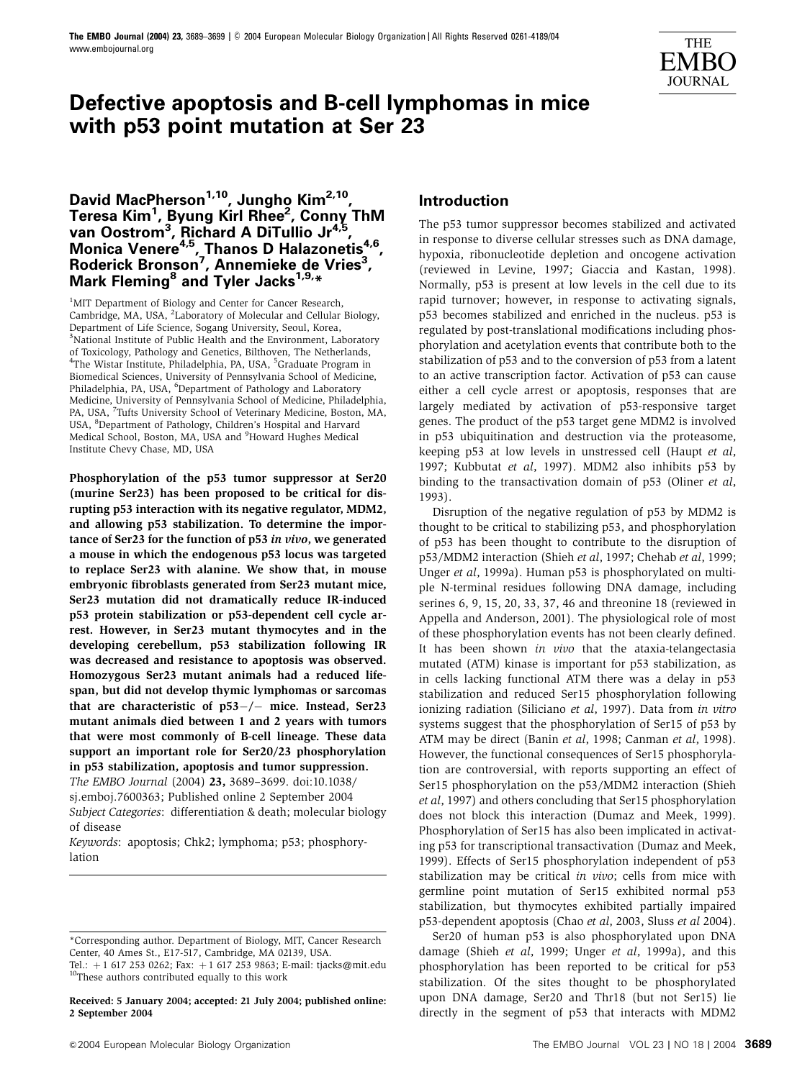

# **Defective apoptosis and B-cell lymphomas in mice with p53 point mutation at Ser 23**

# **David MacPherson1,10, Jungho Kim2,10, Teresa Kim1 , Byung Kirl Rhee2 , Conny ThM van Oostrom3 , Richard A DiTullio Jr4,5,** Monica Venere<sup>4,5</sup>, Thanos D Halazonetis<sup>4,6</sup>, **Roderick Bronson7 , Annemieke de Vries<sup>3</sup> , Mark Fleming8 and Tyler Jacks1,9,\***

<sup>1</sup>MIT Department of Biology and Center for Cancer Research, Cambridge, MA, USA, <sup>2</sup>Laboratory of Molecular and Cellular Biology, Department of Life Science, Sogang University, Seoul, Korea, <sup>3</sup>National Institute of Public Health and the Environment, Laboratory of Toxicology, Pathology and Genetics, Bilthoven, The Netherlands, <sup>4</sup>The Wistar Institute, Philadelphia, PA, USA, <sup>5</sup>Graduate Program in Biomedical Sciences, University of Pennsylvania School of Medicine, Philadelphia, PA, USA, <sup>6</sup>Department of Pathology and Laboratory Medicine, University of Pennsylvania School of Medicine, Philadelphia, PA, USA, <sup>7</sup>Tufts University School of Veterinary Medicine, Boston, MA, USA, <sup>8</sup>Department of Pathology, Children's Hospital and Harvard Medical School, Boston, MA, USA and <sup>9</sup>Howard Hughes Medical Institute Chevy Chase, MD, USA

Phosphorylation of the p53 tumor suppressor at Ser20 (murine Ser23) has been proposed to be critical for disrupting p53 interaction with its negative regulator, MDM2, and allowing p53 stabilization. To determine the importance of Ser23 for the function of p53 in vivo, we generated a mouse in which the endogenous p53 locus was targeted to replace Ser23 with alanine. We show that, in mouse embryonic fibroblasts generated from Ser23 mutant mice, Ser23 mutation did not dramatically reduce IR-induced p53 protein stabilization or p53-dependent cell cycle arrest. However, in Ser23 mutant thymocytes and in the developing cerebellum, p53 stabilization following IR was decreased and resistance to apoptosis was observed. Homozygous Ser23 mutant animals had a reduced lifespan, but did not develop thymic lymphomas or sarcomas that are characteristic of  $p53-/-$  mice. Instead, Ser23 mutant animals died between 1 and 2 years with tumors that were most commonly of B-cell lineage. These data support an important role for Ser20/23 phosphorylation in p53 stabilization, apoptosis and tumor suppression.

The EMBO Journal (2004) 23, 3689–3699. doi:10.1038/ sj.emboj.7600363; Published online 2 September 2004 Subject Categories: differentiation & death; molecular biology of disease

Keywords: apoptosis; Chk2; lymphoma; p53; phosphorylation

Tel.:  $+1$  617 253 0262; Fax:  $+1$  617 253 9863; E-mail: tjacks@mit.edu <sup>10</sup>These authors contributed equally to this work

Received: 5 January 2004; accepted: 21 July 2004; published online: 2 September 2004

# **Introduction**

The p53 tumor suppressor becomes stabilized and activated in response to diverse cellular stresses such as DNA damage, hypoxia, ribonucleotide depletion and oncogene activation (reviewed in Levine, 1997; Giaccia and Kastan, 1998). Normally, p53 is present at low levels in the cell due to its rapid turnover; however, in response to activating signals, p53 becomes stabilized and enriched in the nucleus. p53 is regulated by post-translational modifications including phosphorylation and acetylation events that contribute both to the stabilization of p53 and to the conversion of p53 from a latent to an active transcription factor. Activation of p53 can cause either a cell cycle arrest or apoptosis, responses that are largely mediated by activation of p53-responsive target genes. The product of the p53 target gene MDM2 is involved in p53 ubiquitination and destruction via the proteasome, keeping p53 at low levels in unstressed cell (Haupt et al, 1997; Kubbutat et al, 1997). MDM2 also inhibits p53 by binding to the transactivation domain of p53 (Oliner et al, 1993).

Disruption of the negative regulation of p53 by MDM2 is thought to be critical to stabilizing p53, and phosphorylation of p53 has been thought to contribute to the disruption of p53/MDM2 interaction (Shieh et al, 1997; Chehab et al, 1999; Unger et al, 1999a). Human p53 is phosphorylated on multiple N-terminal residues following DNA damage, including serines 6, 9, 15, 20, 33, 37, 46 and threonine 18 (reviewed in Appella and Anderson, 2001). The physiological role of most of these phosphorylation events has not been clearly defined. It has been shown in vivo that the ataxia-telangectasia mutated (ATM) kinase is important for p53 stabilization, as in cells lacking functional ATM there was a delay in p53 stabilization and reduced Ser15 phosphorylation following ionizing radiation (Siliciano et al, 1997). Data from in vitro systems suggest that the phosphorylation of Ser15 of p53 by ATM may be direct (Banin et al, 1998; Canman et al, 1998). However, the functional consequences of Ser15 phosphorylation are controversial, with reports supporting an effect of Ser15 phosphorylation on the p53/MDM2 interaction (Shieh et al, 1997) and others concluding that Ser15 phosphorylation does not block this interaction (Dumaz and Meek, 1999). Phosphorylation of Ser15 has also been implicated in activating p53 for transcriptional transactivation (Dumaz and Meek, 1999). Effects of Ser15 phosphorylation independent of p53 stabilization may be critical in vivo; cells from mice with germline point mutation of Ser15 exhibited normal p53 stabilization, but thymocytes exhibited partially impaired p53-dependent apoptosis (Chao et al, 2003, Sluss et al 2004).

Ser20 of human p53 is also phosphorylated upon DNA damage (Shieh et al, 1999; Unger et al, 1999a), and this phosphorylation has been reported to be critical for p53 stabilization. Of the sites thought to be phosphorylated upon DNA damage, Ser20 and Thr18 (but not Ser15) lie directly in the segment of p53 that interacts with MDM2

<sup>\*</sup>Corresponding author. Department of Biology, MIT, Cancer Research Center, 40 Ames St., E17-517, Cambridge, MA 02139, USA.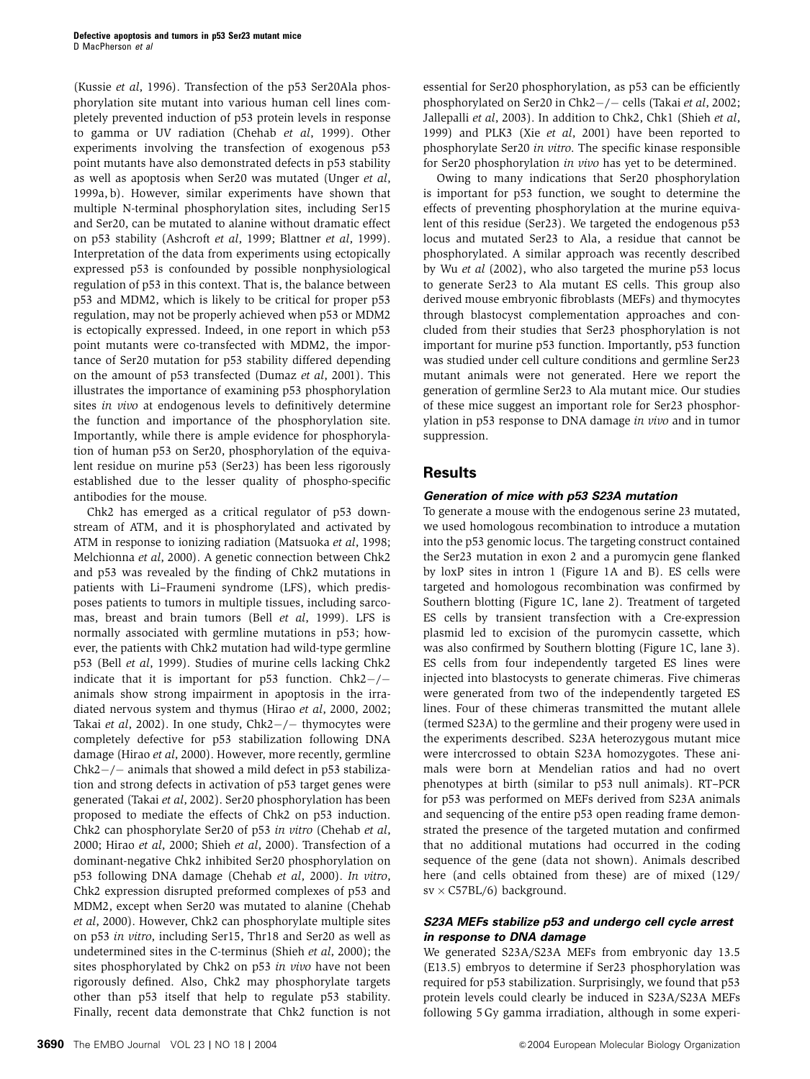(Kussie et al, 1996). Transfection of the p53 Ser20Ala phosphorylation site mutant into various human cell lines completely prevented induction of p53 protein levels in response to gamma or UV radiation (Chehab et al, 1999). Other experiments involving the transfection of exogenous p53 point mutants have also demonstrated defects in p53 stability as well as apoptosis when Ser20 was mutated (Unger et al, 1999a, b). However, similar experiments have shown that multiple N-terminal phosphorylation sites, including Ser15 and Ser20, can be mutated to alanine without dramatic effect on p53 stability (Ashcroft et al, 1999; Blattner et al, 1999). Interpretation of the data from experiments using ectopically expressed p53 is confounded by possible nonphysiological regulation of p53 in this context. That is, the balance between p53 and MDM2, which is likely to be critical for proper p53 regulation, may not be properly achieved when p53 or MDM2 is ectopically expressed. Indeed, in one report in which p53 point mutants were co-transfected with MDM2, the importance of Ser20 mutation for p53 stability differed depending on the amount of p53 transfected (Dumaz et al, 2001). This illustrates the importance of examining p53 phosphorylation sites in vivo at endogenous levels to definitively determine the function and importance of the phosphorylation site. Importantly, while there is ample evidence for phosphorylation of human p53 on Ser20, phosphorylation of the equivalent residue on murine p53 (Ser23) has been less rigorously established due to the lesser quality of phospho-specific antibodies for the mouse.

Chk2 has emerged as a critical regulator of p53 downstream of ATM, and it is phosphorylated and activated by ATM in response to ionizing radiation (Matsuoka et al, 1998; Melchionna et al, 2000). A genetic connection between Chk2 and p53 was revealed by the finding of Chk2 mutations in patients with Li–Fraumeni syndrome (LFS), which predisposes patients to tumors in multiple tissues, including sarcomas, breast and brain tumors (Bell et al, 1999). LFS is normally associated with germline mutations in p53; however, the patients with Chk2 mutation had wild-type germline p53 (Bell et al, 1999). Studies of murine cells lacking Chk2 indicate that it is important for  $p53$  function. Chk2-/animals show strong impairment in apoptosis in the irradiated nervous system and thymus (Hirao et al, 2000, 2002; Takai et al, 2002). In one study,  $Chk2-/-$  thymocytes were completely defective for p53 stabilization following DNA damage (Hirao et al, 2000). However, more recently, germline  $Chk2-/-$  animals that showed a mild defect in p53 stabilization and strong defects in activation of p53 target genes were generated (Takai et al, 2002). Ser20 phosphorylation has been proposed to mediate the effects of Chk2 on p53 induction. Chk2 can phosphorylate Ser20 of p53 in vitro (Chehab et al, 2000; Hirao et al, 2000; Shieh et al, 2000). Transfection of a dominant-negative Chk2 inhibited Ser20 phosphorylation on p53 following DNA damage (Chehab et al, 2000). In vitro, Chk2 expression disrupted preformed complexes of p53 and MDM2, except when Ser20 was mutated to alanine (Chehab et al, 2000). However, Chk2 can phosphorylate multiple sites on p53 in vitro, including Ser15, Thr18 and Ser20 as well as undetermined sites in the C-terminus (Shieh et al, 2000); the sites phosphorylated by Chk2 on p53 in vivo have not been rigorously defined. Also, Chk2 may phosphorylate targets other than p53 itself that help to regulate p53 stability. Finally, recent data demonstrate that Chk2 function is not

essential for Ser20 phosphorylation, as p53 can be efficiently phosphorylated on Ser20 in Chk2 $-/-$  cells (Takai et al, 2002; Jallepalli et al, 2003). In addition to Chk2, Chk1 (Shieh et al, 1999) and PLK3 (Xie et al, 2001) have been reported to phosphorylate Ser20 in vitro. The specific kinase responsible for Ser20 phosphorylation in vivo has yet to be determined.

Owing to many indications that Ser20 phosphorylation is important for p53 function, we sought to determine the effects of preventing phosphorylation at the murine equivalent of this residue (Ser23). We targeted the endogenous p53 locus and mutated Ser23 to Ala, a residue that cannot be phosphorylated. A similar approach was recently described by Wu et al (2002), who also targeted the murine p53 locus to generate Ser23 to Ala mutant ES cells. This group also derived mouse embryonic fibroblasts (MEFs) and thymocytes through blastocyst complementation approaches and concluded from their studies that Ser23 phosphorylation is not important for murine p53 function. Importantly, p53 function was studied under cell culture conditions and germline Ser23 mutant animals were not generated. Here we report the generation of germline Ser23 to Ala mutant mice. Our studies of these mice suggest an important role for Ser23 phosphorylation in p53 response to DNA damage in vivo and in tumor suppression.

# **Results**

# **Generation of mice with p53 S23A mutation**

To generate a mouse with the endogenous serine 23 mutated, we used homologous recombination to introduce a mutation into the p53 genomic locus. The targeting construct contained the Ser23 mutation in exon 2 and a puromycin gene flanked by loxP sites in intron 1 (Figure 1A and B). ES cells were targeted and homologous recombination was confirmed by Southern blotting (Figure 1C, lane 2). Treatment of targeted ES cells by transient transfection with a Cre-expression plasmid led to excision of the puromycin cassette, which was also confirmed by Southern blotting (Figure 1C, lane 3). ES cells from four independently targeted ES lines were injected into blastocysts to generate chimeras. Five chimeras were generated from two of the independently targeted ES lines. Four of these chimeras transmitted the mutant allele (termed S23A) to the germline and their progeny were used in the experiments described. S23A heterozygous mutant mice were intercrossed to obtain S23A homozygotes. These animals were born at Mendelian ratios and had no overt phenotypes at birth (similar to p53 null animals). RT–PCR for p53 was performed on MEFs derived from S23A animals and sequencing of the entire p53 open reading frame demonstrated the presence of the targeted mutation and confirmed that no additional mutations had occurred in the coding sequence of the gene (data not shown). Animals described here (and cells obtained from these) are of mixed (129/  $sv \times C57BL/6$  background.

## **S23A MEFs stabilize p53 and undergo cell cycle arrest in response to DNA damage**

We generated S23A/S23A MEFs from embryonic day 13.5 (E13.5) embryos to determine if Ser23 phosphorylation was required for p53 stabilization. Surprisingly, we found that p53 protein levels could clearly be induced in S23A/S23A MEFs following 5 Gy gamma irradiation, although in some experi-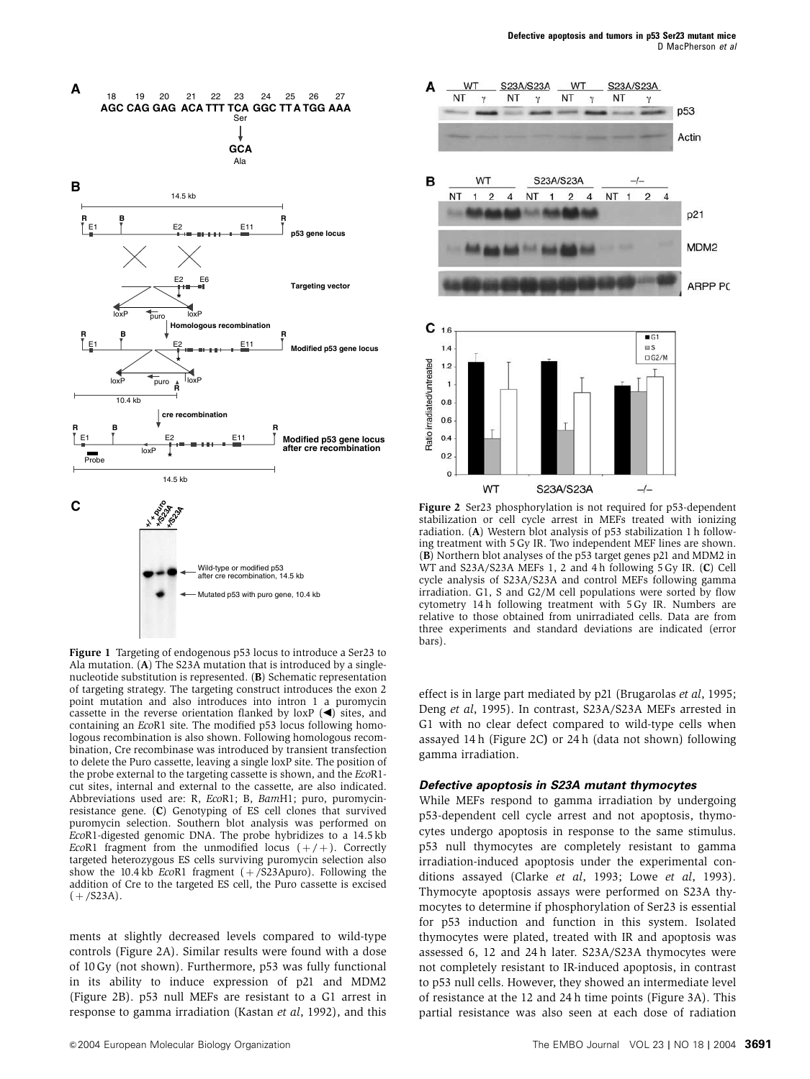

Figure 1 Targeting of endogenous p53 locus to introduce a Ser23 to Ala mutation. (A) The S23A mutation that is introduced by a singlenucleotide substitution is represented. (B) Schematic representation of targeting strategy. The targeting construct introduces the exon 2 point mutation and also introduces into intron 1 a puromycin cassette in the reverse orientation flanked by loxP  $(\blacktriangleleft)$  sites, and containing an EcoR1 site. The modified p53 locus following homologous recombination is also shown. Following homologous recombination, Cre recombinase was introduced by transient transfection to delete the Puro cassette, leaving a single loxP site. The position of the probe external to the targeting cassette is shown, and the EcoR1 cut sites, internal and external to the cassette, are also indicated. Abbreviations used are: R, EcoR1; B, BamH1; puro, puromycinresistance gene. (C) Genotyping of ES cell clones that survived puromycin selection. Southern blot analysis was performed on EcoR1-digested genomic DNA. The probe hybridizes to a 14.5 kb EcoR1 fragment from the unmodified locus  $(+/+)$ . Correctly targeted heterozygous ES cells surviving puromycin selection also show the 10.4 kb EcoR1 fragment  $(+$  /S23Apuro). Following the addition of Cre to the targeted ES cell, the Puro cassette is excised  $(+/523A).$ 

ments at slightly decreased levels compared to wild-type controls (Figure 2A). Similar results were found with a dose of 10 Gy (not shown). Furthermore, p53 was fully functional in its ability to induce expression of p21 and MDM2 (Figure 2B). p53 null MEFs are resistant to a G1 arrest in response to gamma irradiation (Kastan et al, 1992), and this



Figure 2 Ser23 phosphorylation is not required for p53-dependent stabilization or cell cycle arrest in MEFs treated with ionizing radiation. (A) Western blot analysis of p53 stabilization 1 h following treatment with 5 Gy IR. Two independent MEF lines are shown. (B) Northern blot analyses of the p53 target genes p21 and MDM2 in WT and S23A/S23A MEFs 1, 2 and 4 h following 5 Gy IR. (C) Cell cycle analysis of S23A/S23A and control MEFs following gamma irradiation. G1, S and G2/M cell populations were sorted by flow cytometry 14 h following treatment with 5 Gy IR. Numbers are relative to those obtained from unirradiated cells. Data are from three experiments and standard deviations are indicated (error bars).

effect is in large part mediated by p21 (Brugarolas et al, 1995; Deng et al, 1995). In contrast, S23A/S23A MEFs arrested in G1 with no clear defect compared to wild-type cells when assayed 14 h (Figure 2C) or 24 h (data not shown) following gamma irradiation.

#### **Defective apoptosis in S23A mutant thymocytes**

While MEFs respond to gamma irradiation by undergoing p53-dependent cell cycle arrest and not apoptosis, thymocytes undergo apoptosis in response to the same stimulus. p53 null thymocytes are completely resistant to gamma irradiation-induced apoptosis under the experimental conditions assayed (Clarke et al, 1993; Lowe et al, 1993). Thymocyte apoptosis assays were performed on S23A thymocytes to determine if phosphorylation of Ser23 is essential for p53 induction and function in this system. Isolated thymocytes were plated, treated with IR and apoptosis was assessed 6, 12 and 24 h later. S23A/S23A thymocytes were not completely resistant to IR-induced apoptosis, in contrast to p53 null cells. However, they showed an intermediate level of resistance at the 12 and 24 h time points (Figure 3A). This partial resistance was also seen at each dose of radiation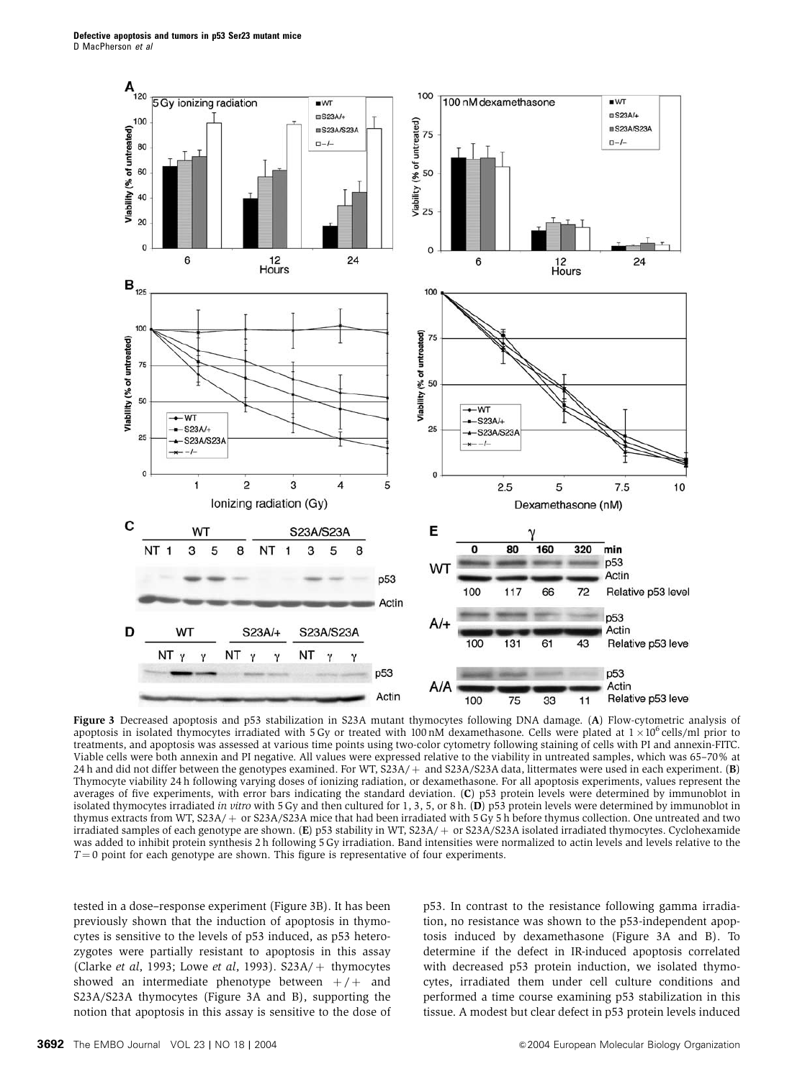

Figure 3 Decreased apoptosis and p53 stabilization in S23A mutant thymocytes following DNA damage. (A) Flow-cytometric analysis of apoptosis in isolated thymocytes irradiated with 5 Gy or treated with 100 nM dexamethasone. Cells were plated at  $1 \times 10^6$  cells/ml prior to treatments, and apoptosis was assessed at various time points using two-color cytometry following staining of cells with PI and annexin-FITC. Viable cells were both annexin and PI negative. All values were expressed relative to the viability in untreated samples, which was 65–70% at 24 h and did not differ between the genotypes examined. For WT,  $S23A/+$  and  $S23A/S23A$  data, littermates were used in each experiment. (B) Thymocyte viability 24 h following varying doses of ionizing radiation, or dexamethasone. For all apoptosis experiments, values represent the averages of five experiments, with error bars indicating the standard deviation. (C) p53 protein levels were determined by immunoblot in isolated thymocytes irradiated in vitro with 5 Gy and then cultured for 1, 3, 5, or 8 h. (D) p53 protein levels were determined by immunoblot in thymus extracts from WT, S23A/ + or S23A/S23A mice that had been irradiated with  $5 \text{ Gy } 5 \text{ h}$  before thymus collection. One untreated and two irradiated samples of each genotype are shown. (E) p53 stability in WT,  $S23A/+$  or  $S23A/S23A$  isolated irradiated thymocytes. Cyclohexamide was added to inhibit protein synthesis 2 h following 5 Gy irradiation. Band intensities were normalized to actin levels and levels relative to the  $T = 0$  point for each genotype are shown. This figure is representative of four experiments.

tested in a dose–response experiment (Figure 3B). It has been previously shown that the induction of apoptosis in thymocytes is sensitive to the levels of p53 induced, as p53 heterozygotes were partially resistant to apoptosis in this assay (Clarke et al, 1993; Lowe et al, 1993).  $S23A/+$  thymocytes showed an intermediate phenotype between  $+/+$  and S23A/S23A thymocytes (Figure 3A and B), supporting the notion that apoptosis in this assay is sensitive to the dose of p53. In contrast to the resistance following gamma irradiation, no resistance was shown to the p53-independent apoptosis induced by dexamethasone (Figure 3A and B). To determine if the defect in IR-induced apoptosis correlated with decreased p53 protein induction, we isolated thymocytes, irradiated them under cell culture conditions and performed a time course examining p53 stabilization in this tissue. A modest but clear defect in p53 protein levels induced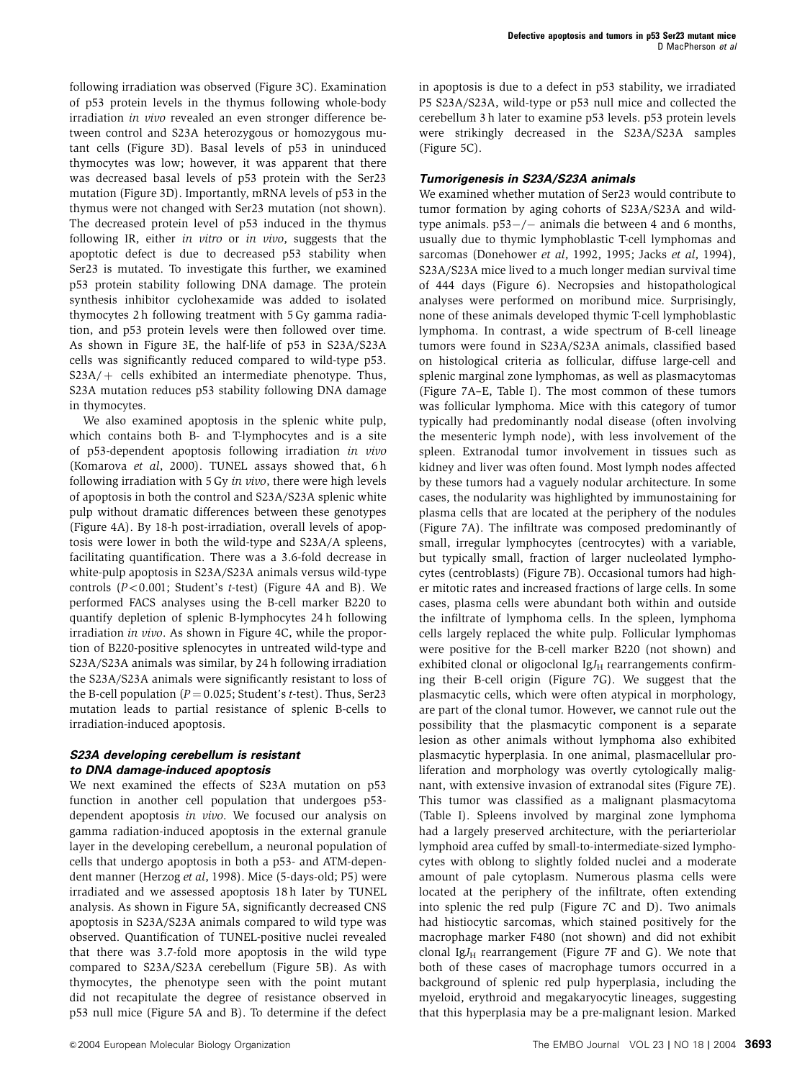following irradiation was observed (Figure 3C). Examination of p53 protein levels in the thymus following whole-body irradiation in vivo revealed an even stronger difference between control and S23A heterozygous or homozygous mutant cells (Figure 3D). Basal levels of p53 in uninduced thymocytes was low; however, it was apparent that there was decreased basal levels of p53 protein with the Ser23 mutation (Figure 3D). Importantly, mRNA levels of p53 in the thymus were not changed with Ser23 mutation (not shown). The decreased protein level of p53 induced in the thymus following IR, either in vitro or in vivo, suggests that the apoptotic defect is due to decreased p53 stability when Ser23 is mutated. To investigate this further, we examined p53 protein stability following DNA damage. The protein synthesis inhibitor cyclohexamide was added to isolated thymocytes 2 h following treatment with 5 Gy gamma radiation, and p53 protein levels were then followed over time. As shown in Figure 3E, the half-life of p53 in S23A/S23A cells was significantly reduced compared to wild-type p53.  $S23A/+$  cells exhibited an intermediate phenotype. Thus, S23A mutation reduces p53 stability following DNA damage in thymocytes.

We also examined apoptosis in the splenic white pulp, which contains both B- and T-lymphocytes and is a site of p53-dependent apoptosis following irradiation in vivo (Komarova et al, 2000). TUNEL assays showed that, 6h following irradiation with 5 Gy in vivo, there were high levels of apoptosis in both the control and S23A/S23A splenic white pulp without dramatic differences between these genotypes (Figure 4A). By 18-h post-irradiation, overall levels of apoptosis were lower in both the wild-type and S23A/A spleens, facilitating quantification. There was a 3.6-fold decrease in white-pulp apoptosis in S23A/S23A animals versus wild-type controls  $(P<0.001$ ; Student's t-test) (Figure 4A and B). We performed FACS analyses using the B-cell marker B220 to quantify depletion of splenic B-lymphocytes 24 h following irradiation in vivo. As shown in Figure 4C, while the proportion of B220-positive splenocytes in untreated wild-type and S23A/S23A animals was similar, by 24 h following irradiation the S23A/S23A animals were significantly resistant to loss of the B-cell population ( $P = 0.025$ ; Student's t-test). Thus, Ser23 mutation leads to partial resistance of splenic B-cells to irradiation-induced apoptosis.

### **S23A developing cerebellum is resistant to DNA damage-induced apoptosis**

We next examined the effects of S23A mutation on p53 function in another cell population that undergoes p53 dependent apoptosis in vivo. We focused our analysis on gamma radiation-induced apoptosis in the external granule layer in the developing cerebellum, a neuronal population of cells that undergo apoptosis in both a p53- and ATM-dependent manner (Herzog et al, 1998). Mice (5-days-old; P5) were irradiated and we assessed apoptosis 18 h later by TUNEL analysis. As shown in Figure 5A, significantly decreased CNS apoptosis in S23A/S23A animals compared to wild type was observed. Quantification of TUNEL-positive nuclei revealed that there was 3.7-fold more apoptosis in the wild type compared to S23A/S23A cerebellum (Figure 5B). As with thymocytes, the phenotype seen with the point mutant did not recapitulate the degree of resistance observed in p53 null mice (Figure 5A and B). To determine if the defect in apoptosis is due to a defect in p53 stability, we irradiated P5 S23A/S23A, wild-type or p53 null mice and collected the cerebellum 3 h later to examine p53 levels. p53 protein levels were strikingly decreased in the S23A/S23A samples (Figure 5C).

## **Tumorigenesis in S23A/S23A animals**

We examined whether mutation of Ser23 would contribute to tumor formation by aging cohorts of S23A/S23A and wildtype animals.  $p53-/-$  animals die between 4 and 6 months, usually due to thymic lymphoblastic T-cell lymphomas and sarcomas (Donehower et al, 1992, 1995; Jacks et al, 1994), S23A/S23A mice lived to a much longer median survival time of 444 days (Figure 6). Necropsies and histopathological analyses were performed on moribund mice. Surprisingly, none of these animals developed thymic T-cell lymphoblastic lymphoma. In contrast, a wide spectrum of B-cell lineage tumors were found in S23A/S23A animals, classified based on histological criteria as follicular, diffuse large-cell and splenic marginal zone lymphomas, as well as plasmacytomas (Figure 7A–E, Table I). The most common of these tumors was follicular lymphoma. Mice with this category of tumor typically had predominantly nodal disease (often involving the mesenteric lymph node), with less involvement of the spleen. Extranodal tumor involvement in tissues such as kidney and liver was often found. Most lymph nodes affected by these tumors had a vaguely nodular architecture. In some cases, the nodularity was highlighted by immunostaining for plasma cells that are located at the periphery of the nodules (Figure 7A). The infiltrate was composed predominantly of small, irregular lymphocytes (centrocytes) with a variable, but typically small, fraction of larger nucleolated lymphocytes (centroblasts) (Figure 7B). Occasional tumors had higher mitotic rates and increased fractions of large cells. In some cases, plasma cells were abundant both within and outside the infiltrate of lymphoma cells. In the spleen, lymphoma cells largely replaced the white pulp. Follicular lymphomas were positive for the B-cell marker B220 (not shown) and exhibited clonal or oligoclonal  $IgJ<sub>H</sub>$  rearrangements confirming their B-cell origin (Figure 7G). We suggest that the plasmacytic cells, which were often atypical in morphology, are part of the clonal tumor. However, we cannot rule out the possibility that the plasmacytic component is a separate lesion as other animals without lymphoma also exhibited plasmacytic hyperplasia. In one animal, plasmacellular proliferation and morphology was overtly cytologically malignant, with extensive invasion of extranodal sites (Figure 7E). This tumor was classified as a malignant plasmacytoma (Table I). Spleens involved by marginal zone lymphoma had a largely preserved architecture, with the periarteriolar lymphoid area cuffed by small-to-intermediate-sized lymphocytes with oblong to slightly folded nuclei and a moderate amount of pale cytoplasm. Numerous plasma cells were located at the periphery of the infiltrate, often extending into splenic the red pulp (Figure 7C and D). Two animals had histiocytic sarcomas, which stained positively for the macrophage marker F480 (not shown) and did not exhibit clonal Ig $J_H$  rearrangement (Figure 7F and G). We note that both of these cases of macrophage tumors occurred in a background of splenic red pulp hyperplasia, including the myeloid, erythroid and megakaryocytic lineages, suggesting that this hyperplasia may be a pre-malignant lesion. Marked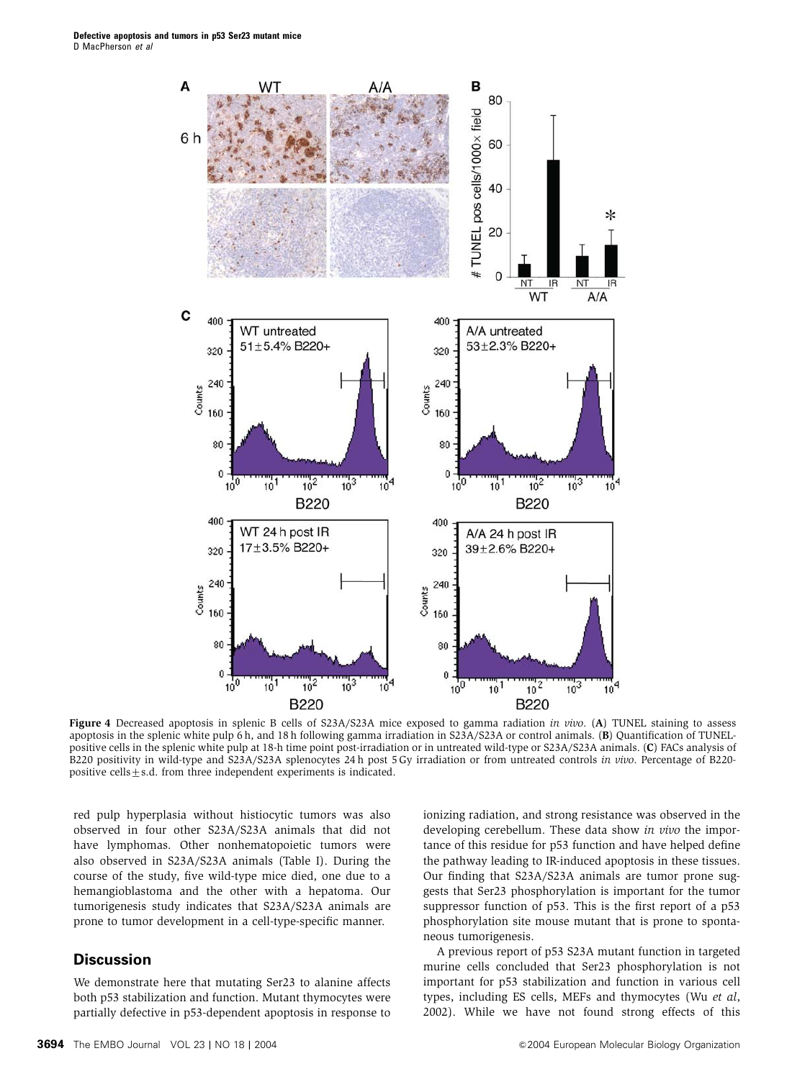

Figure 4 Decreased apoptosis in splenic B cells of S23A/S23A mice exposed to gamma radiation in vivo. (A) TUNEL staining to assess apoptosis in the splenic white pulp 6 h, and 18 h following gamma irradiation in S23A/S23A or control animals. (B) Quantification of TUNELpositive cells in the splenic white pulp at 18-h time point post-irradiation or in untreated wild-type or S23A/S23A animals. (C) FACs analysis of B220 positivity in wild-type and S23A/S23A splenocytes 24 h post 5 Gy irradiation or from untreated controls in vivo. Percentage of B220 positive cells $\pm$ s.d. from three independent experiments is indicated.

red pulp hyperplasia without histiocytic tumors was also observed in four other S23A/S23A animals that did not have lymphomas. Other nonhematopoietic tumors were also observed in S23A/S23A animals (Table I). During the course of the study, five wild-type mice died, one due to a hemangioblastoma and the other with a hepatoma. Our tumorigenesis study indicates that S23A/S23A animals are prone to tumor development in a cell-type-specific manner.

# **Discussion**

We demonstrate here that mutating Ser23 to alanine affects both p53 stabilization and function. Mutant thymocytes were partially defective in p53-dependent apoptosis in response to

ionizing radiation, and strong resistance was observed in the developing cerebellum. These data show in vivo the importance of this residue for p53 function and have helped define the pathway leading to IR-induced apoptosis in these tissues. Our finding that S23A/S23A animals are tumor prone suggests that Ser23 phosphorylation is important for the tumor suppressor function of p53. This is the first report of a p53 phosphorylation site mouse mutant that is prone to spontaneous tumorigenesis.

A previous report of p53 S23A mutant function in targeted murine cells concluded that Ser23 phosphorylation is not important for p53 stabilization and function in various cell types, including ES cells, MEFs and thymocytes (Wu et al, 2002). While we have not found strong effects of this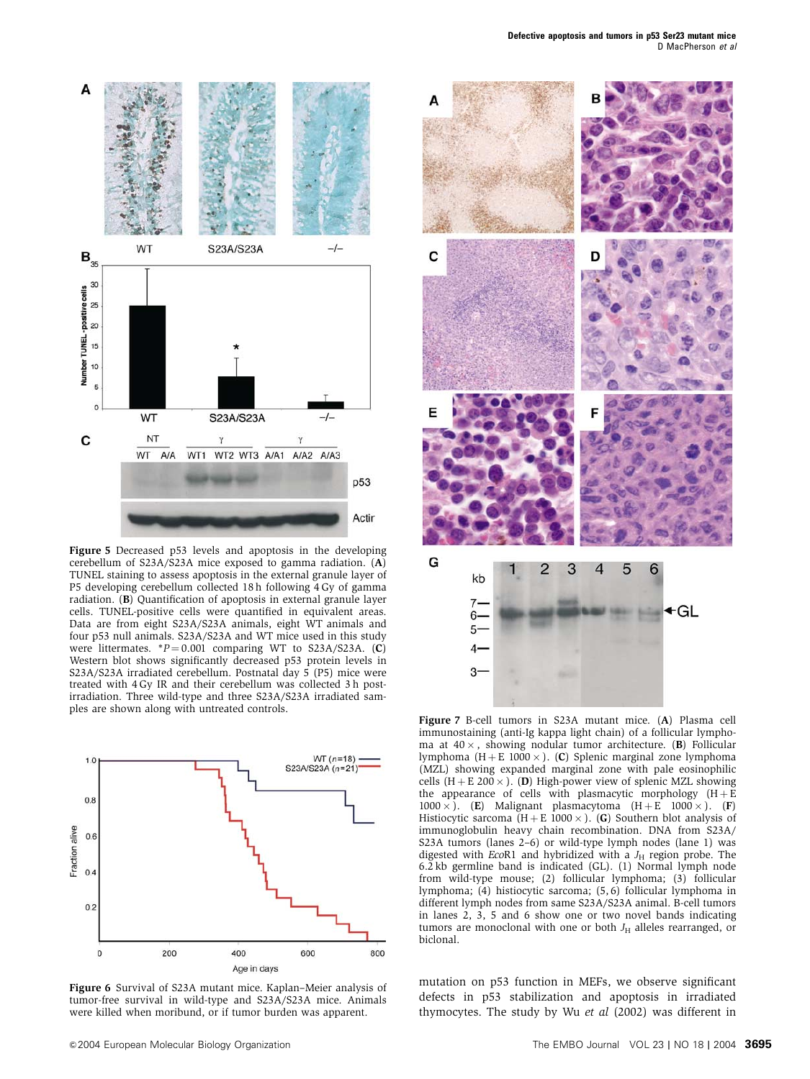

Figure 5 Decreased p53 levels and apoptosis in the developing cerebellum of S23A/S23A mice exposed to gamma radiation. (A) TUNEL staining to assess apoptosis in the external granule layer of P5 developing cerebellum collected 18 h following 4 Gy of gamma radiation. (B) Quantification of apoptosis in external granule layer cells. TUNEL-positive cells were quantified in equivalent areas. Data are from eight S23A/S23A animals, eight WT animals and four p53 null animals. S23A/S23A and WT mice used in this study were littermates.  $*P = 0.001$  comparing WT to S23A/S23A. (C) Western blot shows significantly decreased p53 protein levels in S23A/S23A irradiated cerebellum. Postnatal day 5 (P5) mice were treated with 4 Gy IR and their cerebellum was collected 3 h postirradiation. Three wild-type and three S23A/S23A irradiated samples are shown along with untreated controls.



Figure 6 Survival of S23A mutant mice. Kaplan–Meier analysis of tumor-free survival in wild-type and S23A/S23A mice. Animals were killed when moribund, or if tumor burden was apparent.



Figure 7 B-cell tumors in S23A mutant mice. (A) Plasma cell immunostaining (anti-Ig kappa light chain) of a follicular lymphoma at  $40 \times$ , showing nodular tumor architecture. (B) Follicular lymphoma (H + E 1000  $\times$ ). (C) Splenic marginal zone lymphoma (MZL) showing expanded marginal zone with pale eosinophilic cells (H + E 200  $\times$  ). (D) High-power view of splenic MZL showing the appearance of cells with plasmacytic morphology  $(H + E)$  $1000 \times$ ). (E) Malignant plasmacytoma  $(H + E_1 1000 \times)$ . (F) Histiocytic sarcoma  $(H + E\ 1000 \times)$ . (G) Southern blot analysis of immunoglobulin heavy chain recombination. DNA from S23A/ S23A tumors (lanes 2–6) or wild-type lymph nodes (lane 1) was digested with EcoR1 and hybridized with a  $J_H$  region probe. The 6.2 kb germline band is indicated (GL). (1) Normal lymph node from wild-type mouse; (2) follicular lymphoma; (3) follicular lymphoma; (4) histiocytic sarcoma; (5, 6) follicular lymphoma in different lymph nodes from same S23A/S23A animal. B-cell tumors in lanes 2, 3, 5 and 6 show one or two novel bands indicating tumors are monoclonal with one or both  $J_H$  alleles rearranged, or biclonal.

mutation on p53 function in MEFs, we observe significant defects in p53 stabilization and apoptosis in irradiated thymocytes. The study by Wu et al (2002) was different in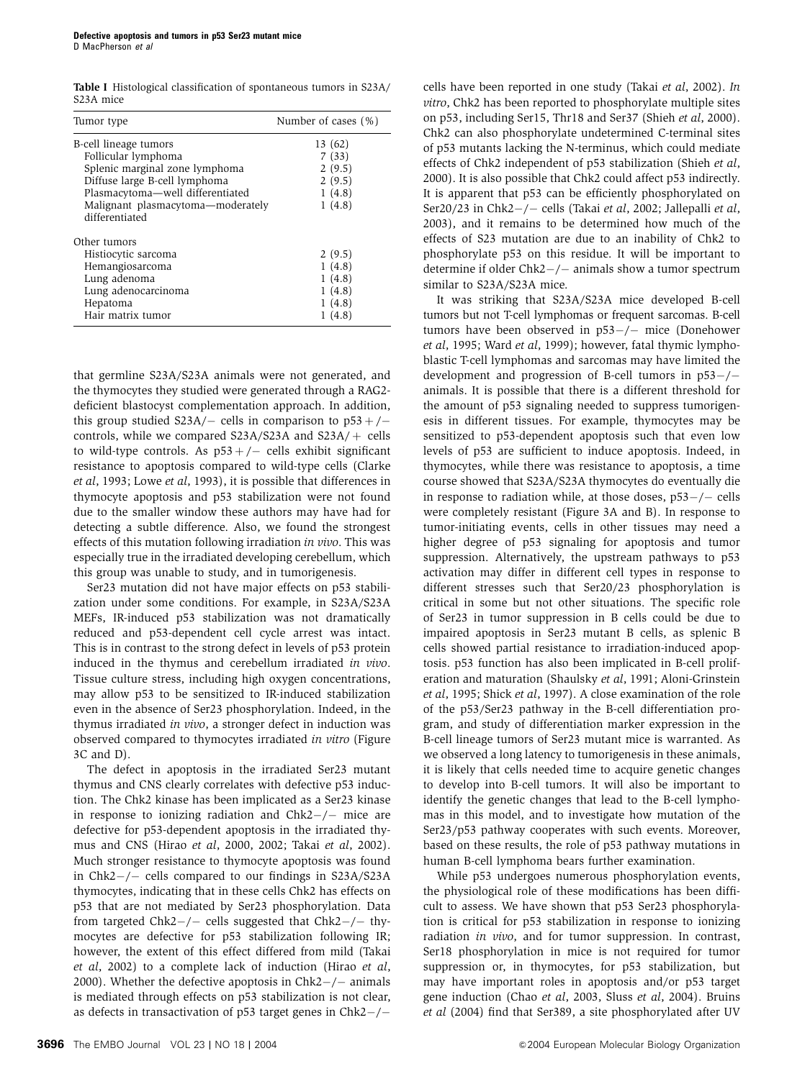Table I Histological classification of spontaneous tumors in S23A/ S23A mice

| Tumor type                                          | Number of cases (%) |
|-----------------------------------------------------|---------------------|
| B-cell lineage tumors                               | 13 (62)             |
| Follicular lymphoma                                 | 7(33)               |
| Splenic marginal zone lymphoma                      | 2(9.5)              |
| Diffuse large B-cell lymphoma                       | 2(9.5)              |
| Plasmacytoma-well differentiated                    | 1(4.8)              |
| Malignant plasmacytoma-moderately<br>differentiated | 1(4.8)              |
| Other tumors                                        |                     |
| Histiocytic sarcoma                                 | 2(9.5)              |
| Hemangiosarcoma                                     | 1(4.8)              |
| Lung adenoma                                        | 1(4.8)              |
| Lung adenocarcinoma                                 | 1(4.8)              |
| Hepatoma                                            | 1(4.8)              |
| Hair matrix tumor                                   | 1(4.8)              |

that germline S23A/S23A animals were not generated, and the thymocytes they studied were generated through a RAG2 deficient blastocyst complementation approach. In addition, this group studied  $S23A/-$  cells in comparison to  $p53+/$ controls, while we compared S23A/S23A and S23A/ $+$  cells to wild-type controls. As  $p53+/-$  cells exhibit significant resistance to apoptosis compared to wild-type cells (Clarke et al, 1993; Lowe et al, 1993), it is possible that differences in thymocyte apoptosis and p53 stabilization were not found due to the smaller window these authors may have had for detecting a subtle difference. Also, we found the strongest effects of this mutation following irradiation in vivo. This was especially true in the irradiated developing cerebellum, which this group was unable to study, and in tumorigenesis.

Ser23 mutation did not have major effects on p53 stabilization under some conditions. For example, in S23A/S23A MEFs, IR-induced p53 stabilization was not dramatically reduced and p53-dependent cell cycle arrest was intact. This is in contrast to the strong defect in levels of p53 protein induced in the thymus and cerebellum irradiated in vivo. Tissue culture stress, including high oxygen concentrations, may allow p53 to be sensitized to IR-induced stabilization even in the absence of Ser23 phosphorylation. Indeed, in the thymus irradiated in vivo, a stronger defect in induction was observed compared to thymocytes irradiated in vitro (Figure 3C and D).

The defect in apoptosis in the irradiated Ser23 mutant thymus and CNS clearly correlates with defective p53 induction. The Chk2 kinase has been implicated as a Ser23 kinase in response to ionizing radiation and  $Chk2-/-$  mice are defective for p53-dependent apoptosis in the irradiated thymus and CNS (Hirao et al, 2000, 2002; Takai et al, 2002). Much stronger resistance to thymocyte apoptosis was found in  $Chk2-/-$  cells compared to our findings in S23A/S23A thymocytes, indicating that in these cells Chk2 has effects on p53 that are not mediated by Ser23 phosphorylation. Data from targeted Chk2 $-/-$  cells suggested that Chk2 $-/-$  thymocytes are defective for p53 stabilization following IR; however, the extent of this effect differed from mild (Takai et al, 2002) to a complete lack of induction (Hirao et al, 2000). Whether the defective apoptosis in  $Chk2-/-$  animals is mediated through effects on p53 stabilization is not clear, as defects in transactivation of  $p53$  target genes in Chk2-/-

cells have been reported in one study (Takai et al, 2002). In vitro, Chk2 has been reported to phosphorylate multiple sites on p53, including Ser15, Thr18 and Ser37 (Shieh et al, 2000). Chk2 can also phosphorylate undetermined C-terminal sites of p53 mutants lacking the N-terminus, which could mediate effects of Chk2 independent of p53 stabilization (Shieh et al, 2000). It is also possible that Chk2 could affect p53 indirectly. It is apparent that p53 can be efficiently phosphorylated on Ser20/23 in Chk2 $-/-$  cells (Takai et al, 2002; Jallepalli et al, 2003), and it remains to be determined how much of the effects of S23 mutation are due to an inability of Chk2 to phosphorylate p53 on this residue. It will be important to determine if older  $Chk2-/-$  animals show a tumor spectrum similar to S23A/S23A mice.

It was striking that S23A/S23A mice developed B-cell tumors but not T-cell lymphomas or frequent sarcomas. B-cell tumors have been observed in  $p53-/-$  mice (Donehower et al, 1995; Ward et al, 1999); however, fatal thymic lymphoblastic T-cell lymphomas and sarcomas may have limited the development and progression of B-cell tumors in  $p53-/$ animals. It is possible that there is a different threshold for the amount of p53 signaling needed to suppress tumorigenesis in different tissues. For example, thymocytes may be sensitized to p53-dependent apoptosis such that even low levels of p53 are sufficient to induce apoptosis. Indeed, in thymocytes, while there was resistance to apoptosis, a time course showed that S23A/S23A thymocytes do eventually die in response to radiation while, at those doses,  $p53-/-$  cells were completely resistant (Figure 3A and B). In response to tumor-initiating events, cells in other tissues may need a higher degree of p53 signaling for apoptosis and tumor suppression. Alternatively, the upstream pathways to p53 activation may differ in different cell types in response to different stresses such that Ser20/23 phosphorylation is critical in some but not other situations. The specific role of Ser23 in tumor suppression in B cells could be due to impaired apoptosis in Ser23 mutant B cells, as splenic B cells showed partial resistance to irradiation-induced apoptosis. p53 function has also been implicated in B-cell proliferation and maturation (Shaulsky et al, 1991; Aloni-Grinstein et al, 1995; Shick et al, 1997). A close examination of the role of the p53/Ser23 pathway in the B-cell differentiation program, and study of differentiation marker expression in the B-cell lineage tumors of Ser23 mutant mice is warranted. As we observed a long latency to tumorigenesis in these animals, it is likely that cells needed time to acquire genetic changes to develop into B-cell tumors. It will also be important to identify the genetic changes that lead to the B-cell lymphomas in this model, and to investigate how mutation of the Ser23/p53 pathway cooperates with such events. Moreover, based on these results, the role of p53 pathway mutations in human B-cell lymphoma bears further examination.

While p53 undergoes numerous phosphorylation events, the physiological role of these modifications has been difficult to assess. We have shown that p53 Ser23 phosphorylation is critical for p53 stabilization in response to ionizing radiation in vivo, and for tumor suppression. In contrast, Ser18 phosphorylation in mice is not required for tumor suppression or, in thymocytes, for p53 stabilization, but may have important roles in apoptosis and/or p53 target gene induction (Chao et al, 2003, Sluss et al, 2004). Bruins et al (2004) find that Ser389, a site phosphorylated after UV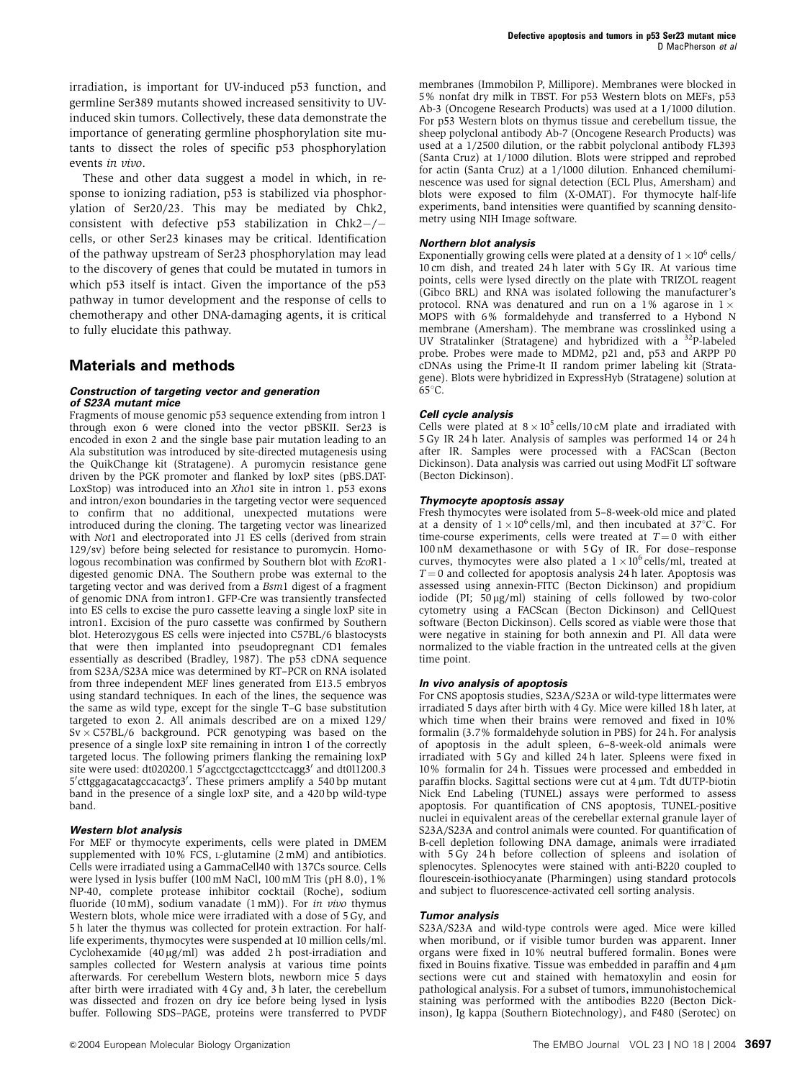irradiation, is important for UV-induced p53 function, and germline Ser389 mutants showed increased sensitivity to UVinduced skin tumors. Collectively, these data demonstrate the importance of generating germline phosphorylation site mutants to dissect the roles of specific p53 phosphorylation events in vivo.

These and other data suggest a model in which, in response to ionizing radiation, p53 is stabilized via phosphorylation of Ser20/23. This may be mediated by Chk2, consistent with defective  $p53$  stabilization in Chk2-/cells, or other Ser23 kinases may be critical. Identification of the pathway upstream of Ser23 phosphorylation may lead to the discovery of genes that could be mutated in tumors in which p53 itself is intact. Given the importance of the p53 pathway in tumor development and the response of cells to chemotherapy and other DNA-damaging agents, it is critical to fully elucidate this pathway.

## **Materials and methods**

#### **Construction of targeting vector and generation of S23A mutant mice**

Fragments of mouse genomic p53 sequence extending from intron 1 through exon 6 were cloned into the vector pBSKII. Ser23 is encoded in exon 2 and the single base pair mutation leading to an Ala substitution was introduced by site-directed mutagenesis using the QuikChange kit (Stratagene). A puromycin resistance gene driven by the PGK promoter and flanked by loxP sites (pBS.DAT-LoxStop) was introduced into an Xho1 site in intron 1. p53 exons and intron/exon boundaries in the targeting vector were sequenced to confirm that no additional, unexpected mutations were introduced during the cloning. The targeting vector was linearized with Not1 and electroporated into J1 ES cells (derived from strain 129/sv) before being selected for resistance to puromycin. Homologous recombination was confirmed by Southern blot with EcoR1 digested genomic DNA. The Southern probe was external to the targeting vector and was derived from a Bsm1 digest of a fragment of genomic DNA from intron1. GFP-Cre was transiently transfected into ES cells to excise the puro cassette leaving a single loxP site in intron1. Excision of the puro cassette was confirmed by Southern blot. Heterozygous ES cells were injected into C57BL/6 blastocysts that were then implanted into pseudopregnant CD1 females essentially as described (Bradley, 1987). The p53 cDNA sequence from S23A/S23A mice was determined by RT–PCR on RNA isolated from three independent MEF lines generated from E13.5 embryos using standard techniques. In each of the lines, the sequence was the same as wild type, except for the single T–G base substitution targeted to exon 2. All animals described are on a mixed 129/  $Sv \times C57BL/6$  background. PCR genotyping was based on the presence of a single loxP site remaining in intron 1 of the correctly targeted locus. The following primers flanking the remaining loxP site were used: dt020200.1 5'agcctgcctagcttcctcagg3' and dt011200.3 5' cttggagacatagccacactg3'. These primers amplify a 540 bp mutant band in the presence of a single loxP site, and a 420 bp wild-type band.

#### **Western blot analysis**

For MEF or thymocyte experiments, cells were plated in DMEM supplemented with  $10\%$  FCS, L-glutamine  $(2 \text{ mM})$  and antibiotics. Cells were irradiated using a GammaCell40 with 137Cs source. Cells were lysed in lysis buffer (100 mM NaCl, 100 mM Tris (pH 8.0), 1% NP-40, complete protease inhibitor cocktail (Roche), sodium fluoride (10 mM), sodium vanadate (1 mM)). For in vivo thymus Western blots, whole mice were irradiated with a dose of 5 Gy, and 5 h later the thymus was collected for protein extraction. For halflife experiments, thymocytes were suspended at 10 million cells/ml. Cyclohexamide  $(40 \mu g/ml)$  was added 2h post-irradiation and samples collected for Western analysis at various time points afterwards. For cerebellum Western blots, newborn mice 5 days after birth were irradiated with 4 Gy and, 3 h later, the cerebellum was dissected and frozen on dry ice before being lysed in lysis buffer. Following SDS–PAGE, proteins were transferred to PVDF

membranes (Immobilon P, Millipore). Membranes were blocked in 5% nonfat dry milk in TBST. For p53 Western blots on MEFs, p53 Ab-3 (Oncogene Research Products) was used at a 1/1000 dilution. For p53 Western blots on thymus tissue and cerebellum tissue, the sheep polyclonal antibody Ab-7 (Oncogene Research Products) was used at a 1/2500 dilution, or the rabbit polyclonal antibody FL393 (Santa Cruz) at 1/1000 dilution. Blots were stripped and reprobed for actin (Santa Cruz) at a 1/1000 dilution. Enhanced chemiluminescence was used for signal detection (ECL Plus, Amersham) and blots were exposed to film (X-OMAT). For thymocyte half-life experiments, band intensities were quantified by scanning densitometry using NIH Image software.

#### **Northern blot analysis**

Exponentially growing cells were plated at a density of  $1\times 10^6$  cells/ 10 cm dish, and treated 24 h later with 5 Gy IR. At various time points, cells were lysed directly on the plate with TRIZOL reagent (Gibco BRL) and RNA was isolated following the manufacturer's protocol. RNA was denatured and run on a 1% agarose in  $1 \times$ MOPS with 6% formaldehyde and transferred to a Hybond N membrane (Amersham). The membrane was crosslinked using a UV Stratalinker (Stratagene) and hybridized with a  $32P$ -labeled probe. Probes were made to MDM2, p21 and, p53 and ARPP P0 cDNAs using the Prime-It II random primer labeling kit (Stratagene). Blots were hybridized in ExpressHyb (Stratagene) solution at  $65^{\circ}$ C.

#### **Cell cycle analysis**

Cells were plated at  $8 \times 10^5$  cells/10 cM plate and irradiated with 5 Gy IR 24 h later. Analysis of samples was performed 14 or 24 h after IR. Samples were processed with a FACScan (Becton Dickinson). Data analysis was carried out using ModFit LT software (Becton Dickinson).

#### **Thymocyte apoptosis assay**

Fresh thymocytes were isolated from 5–8-week-old mice and plated at a density of  $1 \times 10^6$  cells/ml, and then incubated at 37 $\degree$ C. For time-course experiments, cells were treated at  $T = 0$  with either 100 nM dexamethasone or with 5 Gy of IR. For dose–response curves, thymocytes were also plated a  $1 \times 10^6$  cells/ml, treated at  $T = 0$  and collected for apoptosis analysis 24 h later. Apoptosis was assessed using annexin-FITC (Becton Dickinson) and propidium iodide (PI;  $50 \mu g/ml$ ) staining of cells followed by two-color cytometry using a FACScan (Becton Dickinson) and CellQuest software (Becton Dickinson). Cells scored as viable were those that were negative in staining for both annexin and PI. All data were normalized to the viable fraction in the untreated cells at the given time point.

#### **In vivo analysis of apoptosis**

For CNS apoptosis studies, S23A/S23A or wild-type littermates were irradiated 5 days after birth with 4 Gy. Mice were killed 18 h later, at which time when their brains were removed and fixed in 10% formalin (3.7% formaldehyde solution in PBS) for 24 h. For analysis of apoptosis in the adult spleen, 6–8-week-old animals were irradiated with 5 Gy and killed 24 h later. Spleens were fixed in 10% formalin for 24 h. Tissues were processed and embedded in paraffin blocks. Sagittal sections were cut at 4 µm. Tdt dUTP-biotin Nick End Labeling (TUNEL) assays were performed to assess apoptosis. For quantification of CNS apoptosis, TUNEL-positive nuclei in equivalent areas of the cerebellar external granule layer of S23A/S23A and control animals were counted. For quantification of B-cell depletion following DNA damage, animals were irradiated with 5 Gy 24 h before collection of spleens and isolation of splenocytes. Splenocytes were stained with anti-B220 coupled to flourescein-isothiocyanate (Pharmingen) using standard protocols and subject to fluorescence-activated cell sorting analysis.

#### **Tumor analysis**

S23A/S23A and wild-type controls were aged. Mice were killed when moribund, or if visible tumor burden was apparent. Inner organs were fixed in 10% neutral buffered formalin. Bones were fixed in Bouins fixative. Tissue was embedded in paraffin and 4 um sections were cut and stained with hematoxylin and eosin for pathological analysis. For a subset of tumors, immunohistochemical staining was performed with the antibodies B220 (Becton Dickinson), Ig kappa (Southern Biotechnology), and F480 (Serotec) on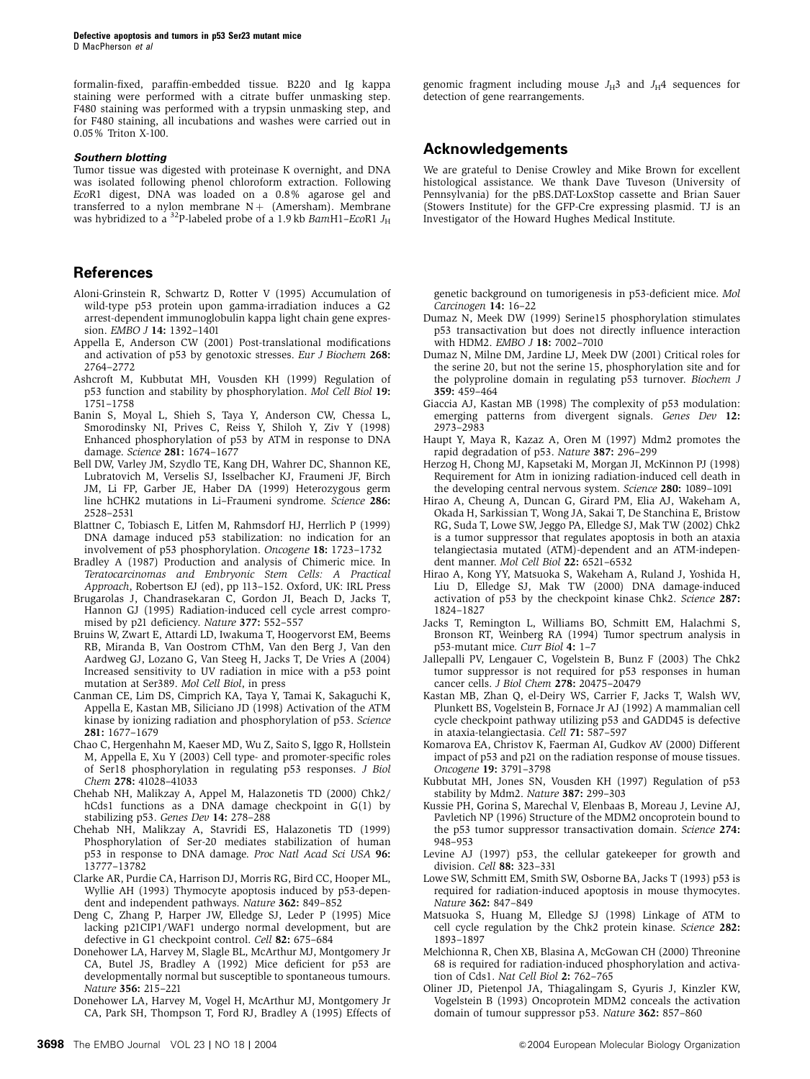formalin-fixed, paraffin-embedded tissue. B220 and Ig kappa staining were performed with a citrate buffer unmasking step. F480 staining was performed with a trypsin unmasking step, and for F480 staining, all incubations and washes were carried out in 0.05% Triton X-100.

#### **Southern blotting**

Tumor tissue was digested with proteinase K overnight, and DNA was isolated following phenol chloroform extraction. Following EcoR1 digest, DNA was loaded on a 0.8% agarose gel and transferred to a nylon membrane  $N+$  (Amersham). Membrane was hybridized to a <sup>32</sup>P-labeled probe of a 1.9 kb BamH1–EcoR1  $J_{\rm H}$ 

## **References**

- Aloni-Grinstein R, Schwartz D, Rotter V (1995) Accumulation of wild-type p53 protein upon gamma-irradiation induces a G2 arrest-dependent immunoglobulin kappa light chain gene expression. EMBO J 14: 1392–1401
- Appella E, Anderson CW (2001) Post-translational modifications and activation of p53 by genotoxic stresses. Eur J Biochem 268: 2764–2772
- Ashcroft M, Kubbutat MH, Vousden KH (1999) Regulation of p53 function and stability by phosphorylation. Mol Cell Biol 19: 1751–1758
- Banin S, Moyal L, Shieh S, Taya Y, Anderson CW, Chessa L, Smorodinsky NI, Prives C, Reiss Y, Shiloh Y, Ziv Y (1998) Enhanced phosphorylation of p53 by ATM in response to DNA damage. Science 281: 1674–1677
- Bell DW, Varley JM, Szydlo TE, Kang DH, Wahrer DC, Shannon KE, Lubratovich M, Verselis SJ, Isselbacher KJ, Fraumeni JF, Birch JM, Li FP, Garber JE, Haber DA (1999) Heterozygous germ line hCHK2 mutations in Li–Fraumeni syndrome. Science 286: 2528–2531
- Blattner C, Tobiasch E, Litfen M, Rahmsdorf HJ, Herrlich P (1999) DNA damage induced p53 stabilization: no indication for an involvement of p53 phosphorylation. Oncogene 18: 1723–1732
- Bradley A (1987) Production and analysis of Chimeric mice. In Teratocarcinomas and Embryonic Stem Cells: A Practical Approach, Robertson EJ (ed), pp 113–152. Oxford, UK: IRL Press
- Brugarolas J, Chandrasekaran C, Gordon JI, Beach D, Jacks T, Hannon GJ (1995) Radiation-induced cell cycle arrest compromised by p21 deficiency. Nature 377: 552–557
- Bruins W, Zwart E, Attardi LD, Iwakuma T, Hoogervorst EM, Beems RB, Miranda B, Van Oostrom CThM, Van den Berg J, Van den Aardweg GJ, Lozano G, Van Steeg H, Jacks T, De Vries A (2004) Increased sensitivity to UV radiation in mice with a p53 point mutation at Ser389. Mol Cell Biol, in press
- Canman CE, Lim DS, Cimprich KA, Taya Y, Tamai K, Sakaguchi K, Appella E, Kastan MB, Siliciano JD (1998) Activation of the ATM kinase by ionizing radiation and phosphorylation of p53. Science 281: 1677–1679
- Chao C, Hergenhahn M, Kaeser MD, Wu Z, Saito S, Iggo R, Hollstein M, Appella E, Xu Y (2003) Cell type- and promoter-specific roles of Ser18 phosphorylation in regulating p53 responses. J Biol Chem 278: 41028–41033
- Chehab NH, Malikzay A, Appel M, Halazonetis TD (2000) Chk2/ hCds1 functions as a DNA damage checkpoint in G(1) by stabilizing p53. Genes Dev 14: 278–288
- Chehab NH, Malikzay A, Stavridi ES, Halazonetis TD (1999) Phosphorylation of Ser-20 mediates stabilization of human p53 in response to DNA damage. Proc Natl Acad Sci USA 96: 13777–13782
- Clarke AR, Purdie CA, Harrison DJ, Morris RG, Bird CC, Hooper ML, Wyllie AH (1993) Thymocyte apoptosis induced by p53-dependent and independent pathways. Nature 362: 849-852
- Deng C, Zhang P, Harper JW, Elledge SJ, Leder P (1995) Mice lacking p21CIP1/WAF1 undergo normal development, but are defective in G1 checkpoint control. Cell 82: 675–684
- Donehower LA, Harvey M, Slagle BL, McArthur MJ, Montgomery Jr CA, Butel JS, Bradley A (1992) Mice deficient for p53 are developmentally normal but susceptible to spontaneous tumours. Nature 356: 215–221
- Donehower LA, Harvey M, Vogel H, McArthur MJ, Montgomery Jr CA, Park SH, Thompson T, Ford RJ, Bradley A (1995) Effects of

genomic fragment including mouse  $J_H3$  and  $J_H4$  sequences for detection of gene rearrangements.

# **Acknowledgements**

We are grateful to Denise Crowley and Mike Brown for excellent histological assistance. We thank Dave Tuveson (University of Pennsylvania) for the pBS.DAT-LoxStop cassette and Brian Sauer (Stowers Institute) for the GFP-Cre expressing plasmid. TJ is an Investigator of the Howard Hughes Medical Institute.

genetic background on tumorigenesis in p53-deficient mice. Mol Carcinogen 14: 16–22

- Dumaz N, Meek DW (1999) Serine15 phosphorylation stimulates p53 transactivation but does not directly influence interaction with HDM2. EMBO J 18: 7002–7010
- Dumaz N, Milne DM, Jardine LJ, Meek DW (2001) Critical roles for the serine 20, but not the serine 15, phosphorylation site and for the polyproline domain in regulating p53 turnover. Biochem J 359: 459–464
- Giaccia AJ, Kastan MB (1998) The complexity of p53 modulation: emerging patterns from divergent signals. Genes Dev 12: 2973–2983
- Haupt Y, Maya R, Kazaz A, Oren M (1997) Mdm2 promotes the rapid degradation of p53. Nature 387: 296–299
- Herzog H, Chong MJ, Kapsetaki M, Morgan JI, McKinnon PJ (1998) Requirement for Atm in ionizing radiation-induced cell death in the developing central nervous system. Science 280: 1089–1091
- Hirao A, Cheung A, Duncan G, Girard PM, Elia AJ, Wakeham A, Okada H, Sarkissian T, Wong JA, Sakai T, De Stanchina E, Bristow RG, Suda T, Lowe SW, Jeggo PA, Elledge SJ, Mak TW (2002) Chk2 is a tumor suppressor that regulates apoptosis in both an ataxia telangiectasia mutated (ATM)-dependent and an ATM-independent manner. Mol Cell Biol 22: 6521–6532
- Hirao A, Kong YY, Matsuoka S, Wakeham A, Ruland J, Yoshida H, Liu D, Elledge SJ, Mak TW (2000) DNA damage-induced activation of p53 by the checkpoint kinase Chk2. Science 287: 1824–1827
- Jacks T, Remington L, Williams BO, Schmitt EM, Halachmi S, Bronson RT, Weinberg RA (1994) Tumor spectrum analysis in p53-mutant mice. Curr Biol 4: 1–7
- Jallepalli PV, Lengauer C, Vogelstein B, Bunz F (2003) The Chk2 tumor suppressor is not required for p53 responses in human cancer cells. J Biol Chem 278: 20475–20479
- Kastan MB, Zhan Q, el-Deiry WS, Carrier F, Jacks T, Walsh WV, Plunkett BS, Vogelstein B, Fornace Jr AJ (1992) A mammalian cell cycle checkpoint pathway utilizing p53 and GADD45 is defective in ataxia-telangiectasia. Cell 71: 587–597
- Komarova EA, Christov K, Faerman AI, Gudkov AV (2000) Different impact of p53 and p21 on the radiation response of mouse tissues. Oncogene 19: 3791–3798
- Kubbutat MH, Jones SN, Vousden KH (1997) Regulation of p53 stability by Mdm2. Nature 387: 299–303
- Kussie PH, Gorina S, Marechal V, Elenbaas B, Moreau J, Levine AJ, Pavletich NP (1996) Structure of the MDM2 oncoprotein bound to the p53 tumor suppressor transactivation domain. Science 274: 948–953
- Levine AJ (1997) p53, the cellular gatekeeper for growth and division. Cell 88: 323–331
- Lowe SW, Schmitt EM, Smith SW, Osborne BA, Jacks T (1993) p53 is required for radiation-induced apoptosis in mouse thymocytes. Nature 362: 847–849
- Matsuoka S, Huang M, Elledge SJ (1998) Linkage of ATM to cell cycle regulation by the Chk2 protein kinase. Science 282: 1893–1897
- Melchionna R, Chen XB, Blasina A, McGowan CH (2000) Threonine 68 is required for radiation-induced phosphorylation and activation of Cds1. Nat Cell Biol 2: 762–765
- Oliner JD, Pietenpol JA, Thiagalingam S, Gyuris J, Kinzler KW, Vogelstein B (1993) Oncoprotein MDM2 conceals the activation domain of tumour suppressor p53. Nature 362: 857-860